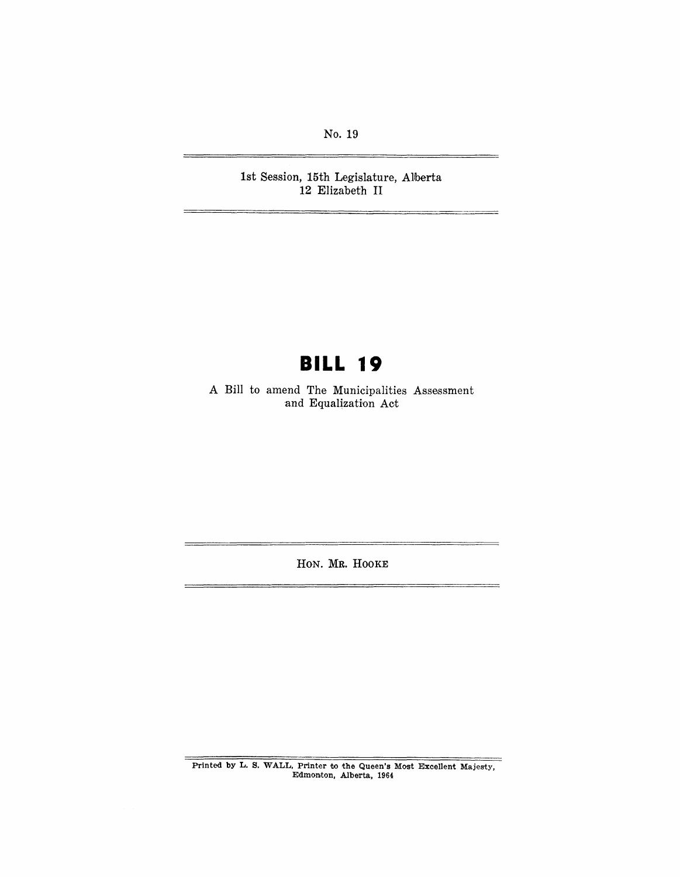No. 19

1st Session, 15th Legislature, Alberta 12 Elizabeth II

## **BILL 19**

A Bill to amend The Municipalities Assessment and Equalization Act

HON. MR. HOOKE

Printed by L. S. WALL, Printer to the Queen's Most Excellent Majesty, Edmonton, Alberta, 1964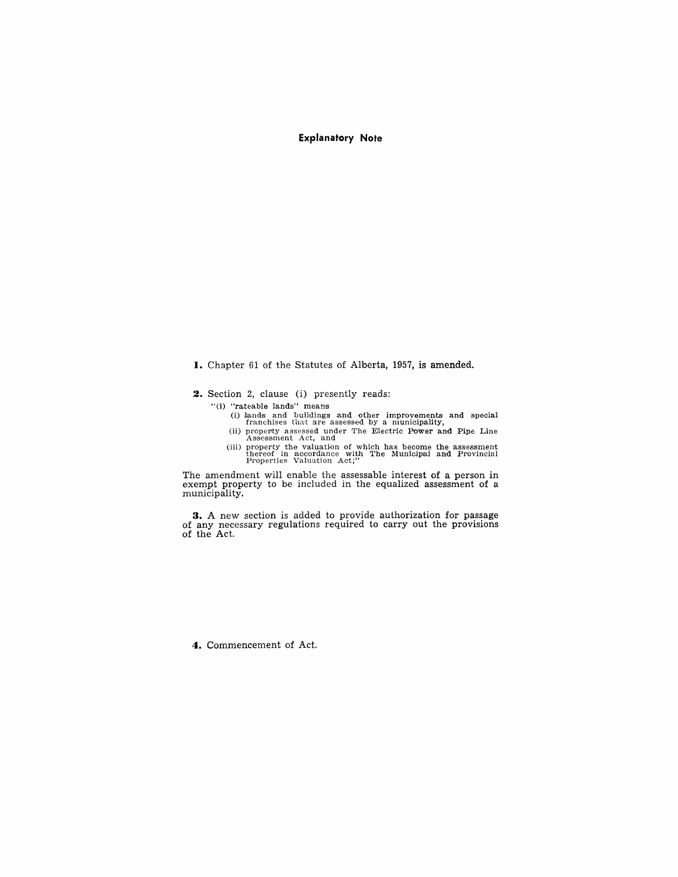**Explanatory Note** 

- I. Chapter 61 of the Statutes of Alberta, 1957, is amended.
- **2.** Section 2, clause (i) presently reads:
	- "(i) "rateable lands" means
		- (i) lands and buildings and other improvements and special franchises that are assessed by a municipality,
		- (ii) property assessed under The Electric Power and Pipe Line Assessment Act, and
		- (iii) property the valuation of which has become the assessment thereof in accordance with The Municipal and Provincial Properties Valuation Act;"

The amendment will enable the assessable interest of a person in exempt property to be included in the equalized assessment of a municipality.

**3.** A new section is added to provide authorization for passage of any necessary regulations required to carry out the provisions of the Act.

**4.** Commencement of Act.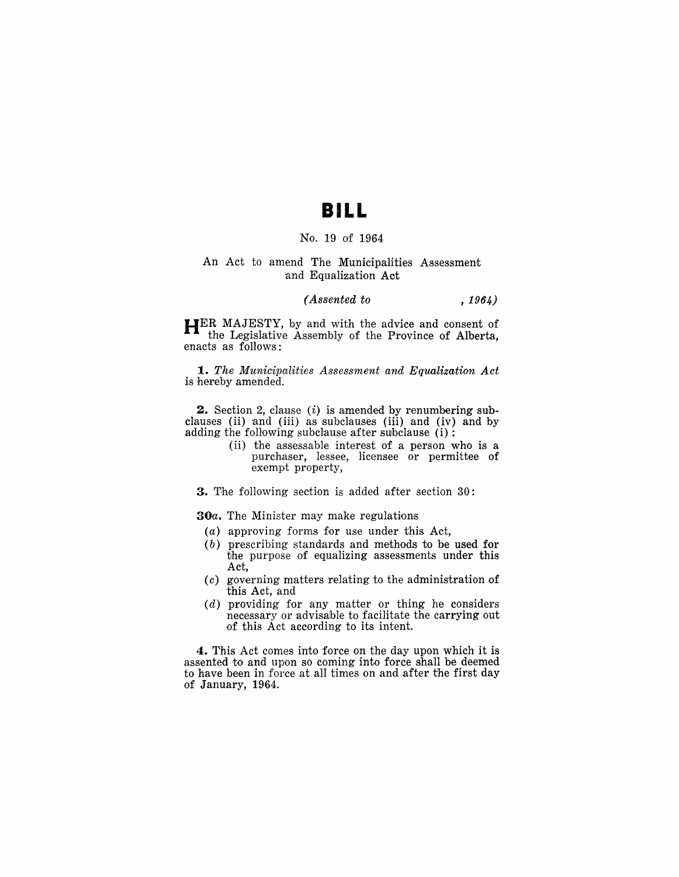### **BILL**

#### No. 19 of 1964

#### An Act to amend The Municipalities Assessment 'and Equalization Act

#### *(Assented to* , 1964)

**HER** MAJESTY, by and with the advice and consent of the Legislative Assembly of the Province of Alberta, enacts as follows:

*1. The Municipalities Assessment and Equalization Act*  is hereby amended.

**.2.** Section 2, clause (i) is amended by renumbering subclauses (ii) and (iii) as subclauses (iii) and (iv) and by adding the following subclause after subclause  $(i)$ :

> (ii) the assessable interest of a person who is a purchaser, lessee, licensee or permittee of exempt property,

**3.** The following section is added after section 30:

*30a.* The Minister may make regulations

- (a) approving forms for use under this Act,
- (b) prescribing standards and methods to be used for the purpose of equalizing assessments under this Act,
- $(c)$  governing matters relating to the administration of this Act, and
- $(d)$  providing for any matter or thing he considers necessary or advisable to facilitate the carrying out .of this Act according to its intent.

**4.** This Act comes into force on the day upon which it is assented to and upon so coming into force shall be deemed to have been in force at all times on and after the first day *'Of* January, 1964.